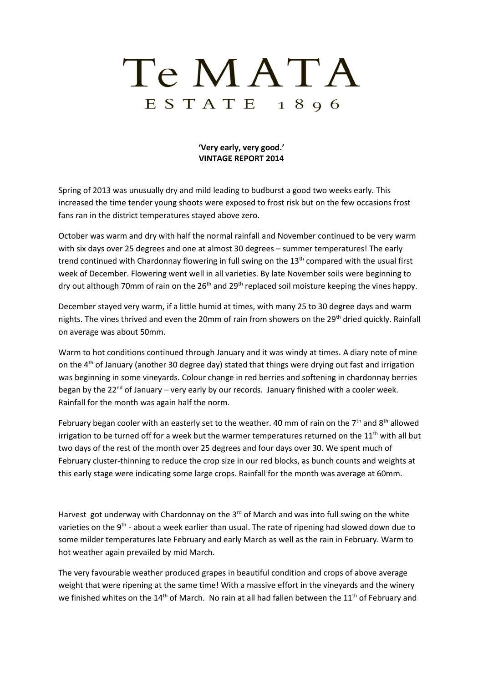## Te MATA  $E S T A T E$  1896

## **'Very early, very good.' VINTAGE REPORT 2014**

Spring of 2013 was unusually dry and mild leading to budburst a good two weeks early. This increased the time tender young shoots were exposed to frost risk but on the few occasions frost fans ran in the district temperatures stayed above zero.

October was warm and dry with half the normal rainfall and November continued to be very warm with six days over 25 degrees and one at almost 30 degrees – summer temperatures! The early trend continued with Chardonnay flowering in full swing on the 13<sup>th</sup> compared with the usual first week of December. Flowering went well in all varieties. By late November soils were beginning to dry out although 70mm of rain on the  $26<sup>th</sup>$  and  $29<sup>th</sup>$  replaced soil moisture keeping the vines happy.

December stayed very warm, if a little humid at times, with many 25 to 30 degree days and warm nights. The vines thrived and even the 20mm of rain from showers on the 29<sup>th</sup> dried quickly. Rainfall on average was about 50mm.

Warm to hot conditions continued through January and it was windy at times. A diary note of mine on the  $4<sup>th</sup>$  of January (another 30 degree day) stated that things were drying out fast and irrigation was beginning in some vineyards. Colour change in red berries and softening in chardonnay berries began by the 22 $^{nd}$  of January – very early by our records. January finished with a cooler week. Rainfall for the month was again half the norm.

February began cooler with an easterly set to the weather. 40 mm of rain on the  $7<sup>th</sup>$  and  $8<sup>th</sup>$  allowed irrigation to be turned off for a week but the warmer temperatures returned on the  $11<sup>th</sup>$  with all but two days of the rest of the month over 25 degrees and four days over 30. We spent much of February cluster-thinning to reduce the crop size in our red blocks, as bunch counts and weights at this early stage were indicating some large crops. Rainfall for the month was average at 60mm.

Harvest got underway with Chardonnay on the  $3<sup>rd</sup>$  of March and was into full swing on the white varieties on the 9<sup>th</sup> - about a week earlier than usual. The rate of ripening had slowed down due to some milder temperatures late February and early March as well as the rain in February. Warm to hot weather again prevailed by mid March.

The very favourable weather produced grapes in beautiful condition and crops of above average weight that were ripening at the same time! With a massive effort in the vineyards and the winery we finished whites on the 14<sup>th</sup> of March. No rain at all had fallen between the 11<sup>th</sup> of February and